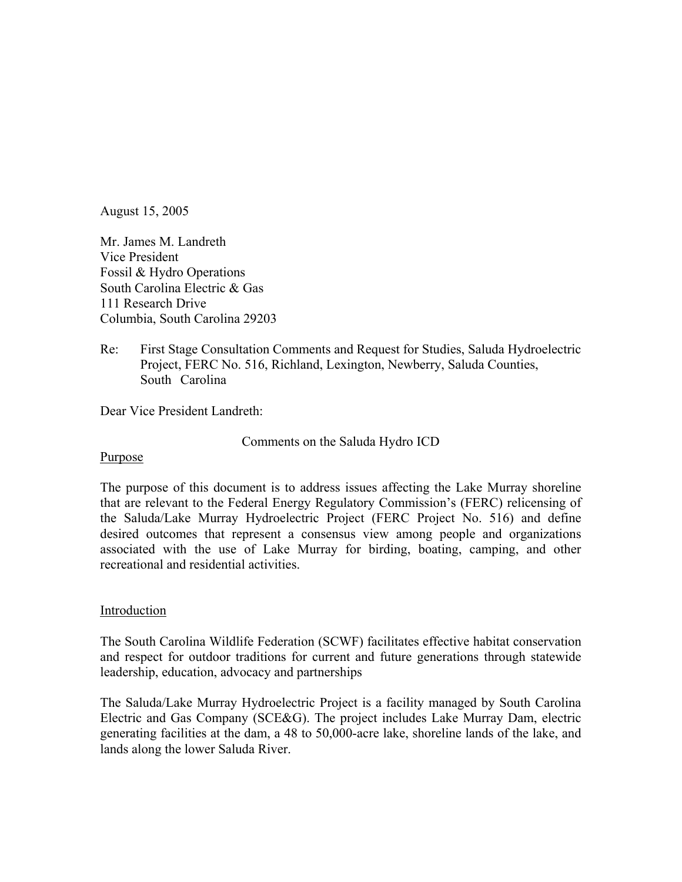August 15, 2005

Mr. James M. Landreth Vice President Fossil & Hydro Operations South Carolina Electric & Gas 111 Research Drive Columbia, South Carolina 29203

Re: First Stage Consultation Comments and Request for Studies, Saluda Hydroelectric Project, FERC No. 516, Richland, Lexington, Newberry, Saluda Counties, South Carolina

Dear Vice President Landreth:

Comments on the Saluda Hydro ICD

## Purpose

The purpose of this document is to address issues affecting the Lake Murray shoreline that are relevant to the Federal Energy Regulatory Commission's (FERC) relicensing of the Saluda/Lake Murray Hydroelectric Project (FERC Project No. 516) and define desired outcomes that represent a consensus view among people and organizations associated with the use of Lake Murray for birding, boating, camping, and other recreational and residential activities.

## Introduction

The South Carolina Wildlife Federation (SCWF) facilitates effective habitat conservation and respect for outdoor traditions for current and future generations through statewide leadership, education, advocacy and partnerships

The Saluda/Lake Murray Hydroelectric Project is a facility managed by South Carolina Electric and Gas Company (SCE&G). The project includes Lake Murray Dam, electric generating facilities at the dam, a 48 to 50,000-acre lake, shoreline lands of the lake, and lands along the lower Saluda River.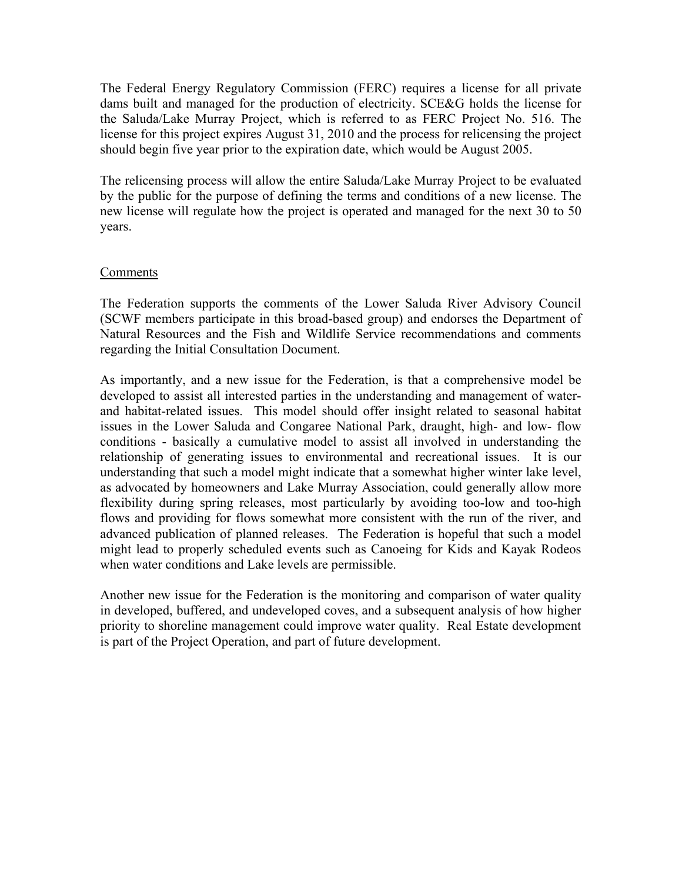The Federal Energy Regulatory Commission (FERC) requires a license for all private dams built and managed for the production of electricity. SCE&G holds the license for the Saluda/Lake Murray Project, which is referred to as FERC Project No. 516. The license for this project expires August 31, 2010 and the process for relicensing the project should begin five year prior to the expiration date, which would be August 2005.

The relicensing process will allow the entire Saluda/Lake Murray Project to be evaluated by the public for the purpose of defining the terms and conditions of a new license. The new license will regulate how the project is operated and managed for the next 30 to 50 years.

## Comments

The Federation supports the comments of the Lower Saluda River Advisory Council (SCWF members participate in this broad-based group) and endorses the Department of Natural Resources and the Fish and Wildlife Service recommendations and comments regarding the Initial Consultation Document.

As importantly, and a new issue for the Federation, is that a comprehensive model be developed to assist all interested parties in the understanding and management of waterand habitat-related issues. This model should offer insight related to seasonal habitat issues in the Lower Saluda and Congaree National Park, draught, high- and low- flow conditions - basically a cumulative model to assist all involved in understanding the relationship of generating issues to environmental and recreational issues. It is our understanding that such a model might indicate that a somewhat higher winter lake level, as advocated by homeowners and Lake Murray Association, could generally allow more flexibility during spring releases, most particularly by avoiding too-low and too-high flows and providing for flows somewhat more consistent with the run of the river, and advanced publication of planned releases. The Federation is hopeful that such a model might lead to properly scheduled events such as Canoeing for Kids and Kayak Rodeos when water conditions and Lake levels are permissible.

Another new issue for the Federation is the monitoring and comparison of water quality in developed, buffered, and undeveloped coves, and a subsequent analysis of how higher priority to shoreline management could improve water quality. Real Estate development is part of the Project Operation, and part of future development.